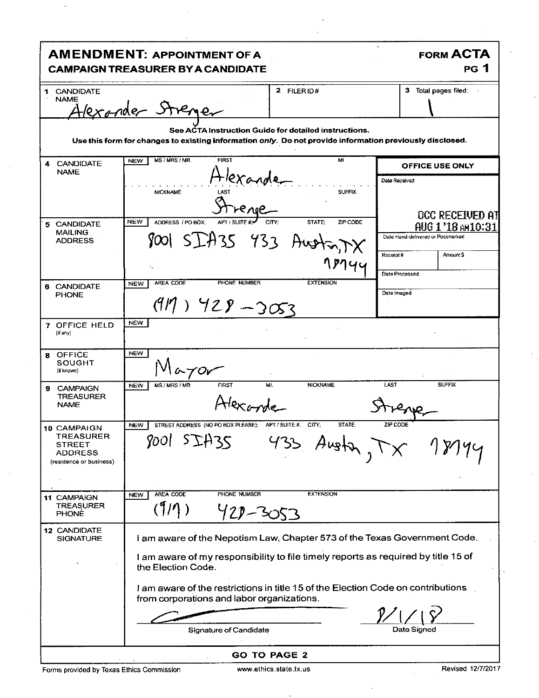| <b>AMENDMENT: APPOINTMENT OF A</b><br><b>CAMPAIGN TREASURER BY A CANDIDATE</b>                                                                                    |                                                                                                                                | <b>FORM ACTA</b><br><b>PG</b> 1                        |
|-------------------------------------------------------------------------------------------------------------------------------------------------------------------|--------------------------------------------------------------------------------------------------------------------------------|--------------------------------------------------------|
| <b>CANDIDATE</b><br>1.                                                                                                                                            | 2 FILERID#                                                                                                                     | 3 Total pages filed:                                   |
| <b>NAME</b>                                                                                                                                                       | Alexander Strenger                                                                                                             |                                                        |
| See ACTA Instruction Guide for detailed instructions.<br>Use this form for changes to existing information only. Do not provide information previously disclosed. |                                                                                                                                |                                                        |
| <b>CANDIDATE</b><br>4<br><b>NAME</b>                                                                                                                              | <b>FIRST</b><br>MI<br>MS / MRS / MR<br><b>NEW</b>                                                                              | <b>OFFICE USE ONLY</b>                                 |
|                                                                                                                                                                   | Hexande<br><b>NICKNAME</b><br><b>SUFFIX</b>                                                                                    | Date Received<br><b>OCC RECEIVED AT</b>                |
| 5 CANDIDATE<br><b>MAILING</b><br><b>ADDRESS</b>                                                                                                                   | <b>NEW</b><br>ADDRESS / PO BOX:<br>APT / SUITE #:₩<br>CITY:<br>STATE:<br>ZIP CODE<br>8001 SIA35 433 Austrinx                   | AUG 1'18 AM 10:31<br>Date Hand-delivered or Postmarked |
|                                                                                                                                                                   | .ፆ⁄1។។                                                                                                                         | Receipt#<br>Amount \$<br>Data Processed                |
| 6 CANDIDATE<br><b>PHONE</b>                                                                                                                                       | PHONE NUMBER<br><b>EXTENSION</b><br>AREA CODE<br><b>NEW</b><br>$(919)$ $928 - 3053$                                            | Date Imaged                                            |
| 7 OFFICE HELD<br>(if any)                                                                                                                                         | <b>NEW</b>                                                                                                                     |                                                        |
| <b>OFFICE</b><br>8.<br>SOUGHT<br>(if known)                                                                                                                       | <b>NEW</b><br>-70r                                                                                                             |                                                        |
| <b>CAMPAIGN</b><br>9<br><b>TREASURER</b><br><b>NAME</b>                                                                                                           | <b>FIRST</b><br><b>NICKNAME</b><br>MS / MRS / MR<br>Mi.<br><b>NEW</b>                                                          | <b>SUFFIX</b><br>LAST                                  |
| 10 CAMPAIGN<br><b>TREASURER</b><br>STREET<br><b>ADDRESS</b><br>(residence or business)                                                                            | <b>NEW</b><br>STREET ADDRESS (NO PO BOX PLEASE): APT / SUITE #; CITY;<br>STATE:<br>8001 SIA35<br>433 Augh                      | ZIP CODE                                               |
| <b>11 CAMPAIGN</b><br><b>TREASURER</b><br><b>PHONE</b>                                                                                                            | <b>AREA CODE</b><br>PHONE NUMBER<br><b>EXTENSION</b><br><b>NEW</b><br>(1/1)<br>420-3053                                        |                                                        |
| <b>12 CANDIDATE</b><br><b>SIGNATURE</b>                                                                                                                           | I am aware of the Nepotism Law, Chapter 573 of the Texas Government Code.                                                      |                                                        |
|                                                                                                                                                                   | I am aware of my responsibility to file timely reports as required by title 15 of<br>the Election Code.                        |                                                        |
|                                                                                                                                                                   | I am aware of the restrictions in title 15 of the Election Code on contributions<br>from corporations and labor organizations. |                                                        |
|                                                                                                                                                                   |                                                                                                                                |                                                        |
|                                                                                                                                                                   | Signature of Candidate                                                                                                         | Date Signed                                            |
| <b>GO TO PAGE 2</b>                                                                                                                                               |                                                                                                                                |                                                        |

 $\ddot{\phantom{0}}$